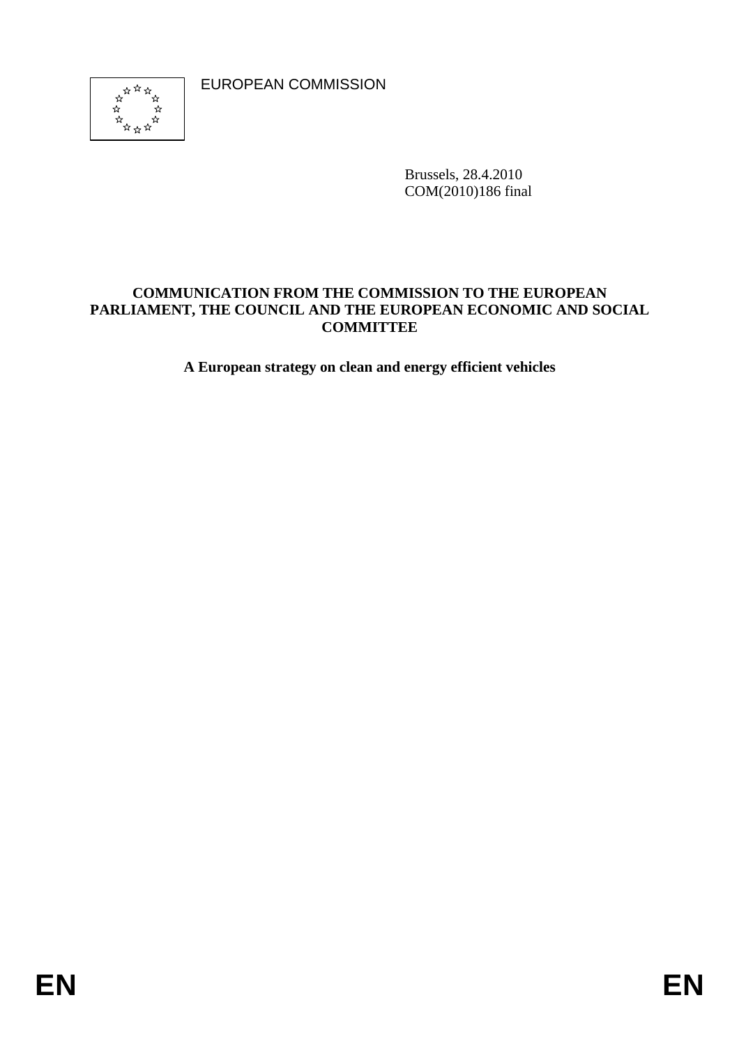EUROPEAN COMMISSION



Brussels, 28.4.2010 COM(2010)186 final

### **COMMUNICATION FROM THE COMMISSION TO THE EUROPEAN PARLIAMENT, THE COUNCIL AND THE EUROPEAN ECONOMIC AND SOCIAL COMMITTEE**

**A European strategy on clean and energy efficient vehicles**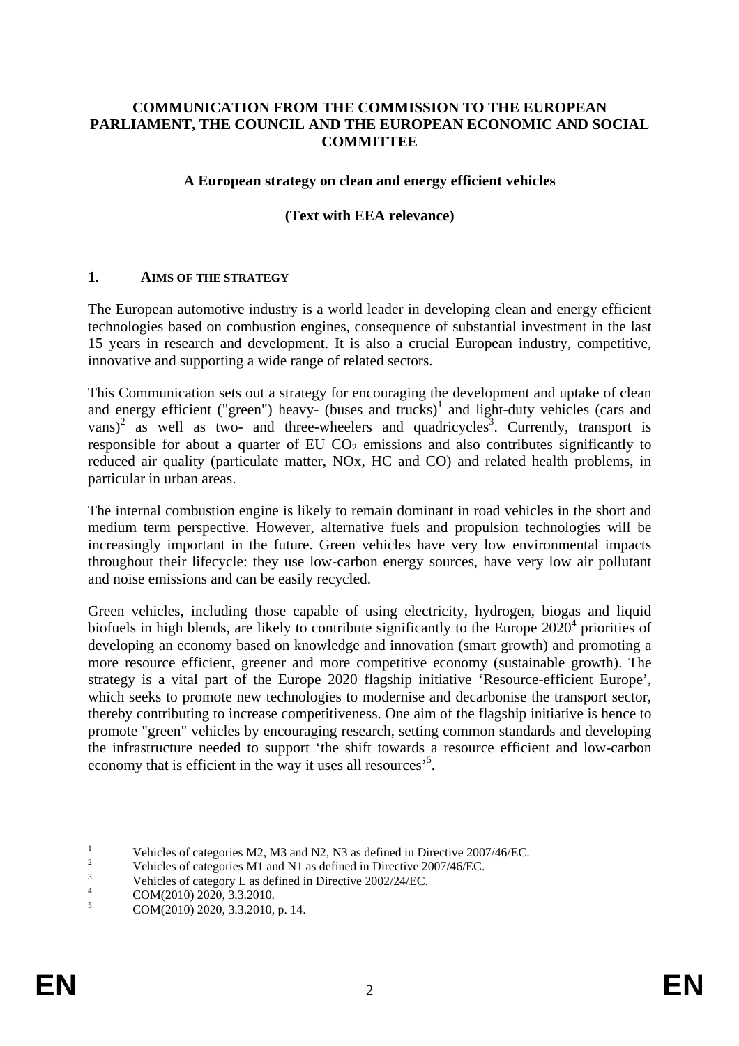### **COMMUNICATION FROM THE COMMISSION TO THE EUROPEAN PARLIAMENT, THE COUNCIL AND THE EUROPEAN ECONOMIC AND SOCIAL COMMITTEE**

### **A European strategy on clean and energy efficient vehicles**

### **(Text with EEA relevance)**

#### **1. AIMS OF THE STRATEGY**

The European automotive industry is a world leader in developing clean and energy efficient technologies based on combustion engines, consequence of substantial investment in the last 15 years in research and development. It is also a crucial European industry, competitive, innovative and supporting a wide range of related sectors.

This Communication sets out a strategy for encouraging the development and uptake of clean and energy efficient ("green") heavy- (buses and trucks)<sup>1</sup> and light-duty vehicles (cars and  $vans)^2$  as well as two- and three-wheelers and quadricycles<sup>3</sup>. Currently, transport is responsible for about a quarter of EU  $CO<sub>2</sub>$  emissions and also contributes significantly to reduced air quality (particulate matter, NOx, HC and CO) and related health problems, in particular in urban areas.

The internal combustion engine is likely to remain dominant in road vehicles in the short and medium term perspective. However, alternative fuels and propulsion technologies will be increasingly important in the future. Green vehicles have very low environmental impacts throughout their lifecycle: they use low-carbon energy sources, have very low air pollutant and noise emissions and can be easily recycled.

Green vehicles, including those capable of using electricity, hydrogen, biogas and liquid biofuels in high blends, are likely to contribute significantly to the Europe  $2020<sup>4</sup>$  priorities of developing an economy based on knowledge and innovation (smart growth) and promoting a more resource efficient, greener and more competitive economy (sustainable growth). The strategy is a vital part of the Europe 2020 flagship initiative 'Resource-efficient Europe', which seeks to promote new technologies to modernise and decarbonise the transport sector, thereby contributing to increase competitiveness. One aim of the flagship initiative is hence to promote "green" vehicles by encouraging research, setting common standards and developing the infrastructure needed to support 'the shift towards a resource efficient and low-carbon economy that is efficient in the way it uses all resources<sup>55</sup>.

<sup>1</sup> Vehicles of categories M2, M3 and N2, N3 as defined in Directive 2007/46/EC.<br>
2 Vehicles of ostagories M1 and N1 as defined in Directive 2007/46/EC.

 $V_{\text{th}}$  Vehicles of categories M1 and N1 as defined in Directive 2007/46/EC.

<sup>&</sup>lt;sup>3</sup><br>Vehicles of category L as defined in Directive 2002/24/EC.<br> $^{4}$  COM/2010) 2020 <sup>2</sup> 2 2010

COM(2010) 2020, 3.3.2010.

<sup>5</sup> COM(2010) 2020, 3.3.2010, p. 14.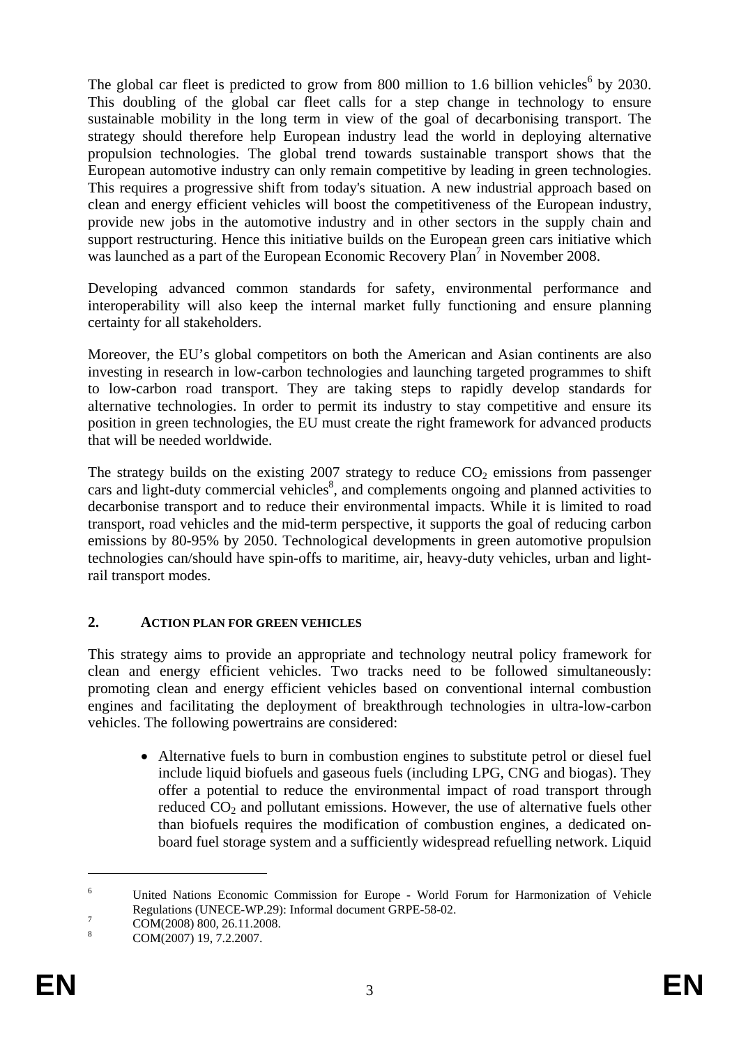The global car fleet is predicted to grow from 800 million to 1.6 billion vehicles<sup>6</sup> by 2030. This doubling of the global car fleet calls for a step change in technology to ensure sustainable mobility in the long term in view of the goal of decarbonising transport. The strategy should therefore help European industry lead the world in deploying alternative propulsion technologies. The global trend towards sustainable transport shows that the European automotive industry can only remain competitive by leading in green technologies. This requires a progressive shift from today's situation. A new industrial approach based on clean and energy efficient vehicles will boost the competitiveness of the European industry, provide new jobs in the automotive industry and in other sectors in the supply chain and support restructuring. Hence this initiative builds on the European green cars initiative which was launched as a part of the European Economic Recovery Plan<sup>7</sup> in November 2008.

Developing advanced common standards for safety, environmental performance and interoperability will also keep the internal market fully functioning and ensure planning certainty for all stakeholders.

Moreover, the EU's global competitors on both the American and Asian continents are also investing in research in low-carbon technologies and launching targeted programmes to shift to low-carbon road transport. They are taking steps to rapidly develop standards for alternative technologies. In order to permit its industry to stay competitive and ensure its position in green technologies, the EU must create the right framework for advanced products that will be needed worldwide.

The strategy builds on the existing 2007 strategy to reduce  $CO<sub>2</sub>$  emissions from passenger cars and light-duty commercial vehicles $\delta$ , and complements ongoing and planned activities to decarbonise transport and to reduce their environmental impacts. While it is limited to road transport, road vehicles and the mid-term perspective, it supports the goal of reducing carbon emissions by 80-95% by 2050. Technological developments in green automotive propulsion technologies can/should have spin-offs to maritime, air, heavy-duty vehicles, urban and lightrail transport modes.

### **2. ACTION PLAN FOR GREEN VEHICLES**

This strategy aims to provide an appropriate and technology neutral policy framework for clean and energy efficient vehicles. Two tracks need to be followed simultaneously: promoting clean and energy efficient vehicles based on conventional internal combustion engines and facilitating the deployment of breakthrough technologies in ultra-low-carbon vehicles. The following powertrains are considered:

• Alternative fuels to burn in combustion engines to substitute petrol or diesel fuel include liquid biofuels and gaseous fuels (including LPG, CNG and biogas). They offer a potential to reduce the environmental impact of road transport through reduced  $CO<sub>2</sub>$  and pollutant emissions. However, the use of alternative fuels other than biofuels requires the modification of combustion engines, a dedicated onboard fuel storage system and a sufficiently widespread refuelling network. Liquid

<sup>6</sup> United Nations Economic Commission for Europe - World Forum for Harmonization of Vehicle Regulations (UNECE-WP.29): Informal document GRPE-58-02.

COM(2008) 800, 26.11.2008.

<sup>8</sup> COM(2007) 19, 7.2.2007.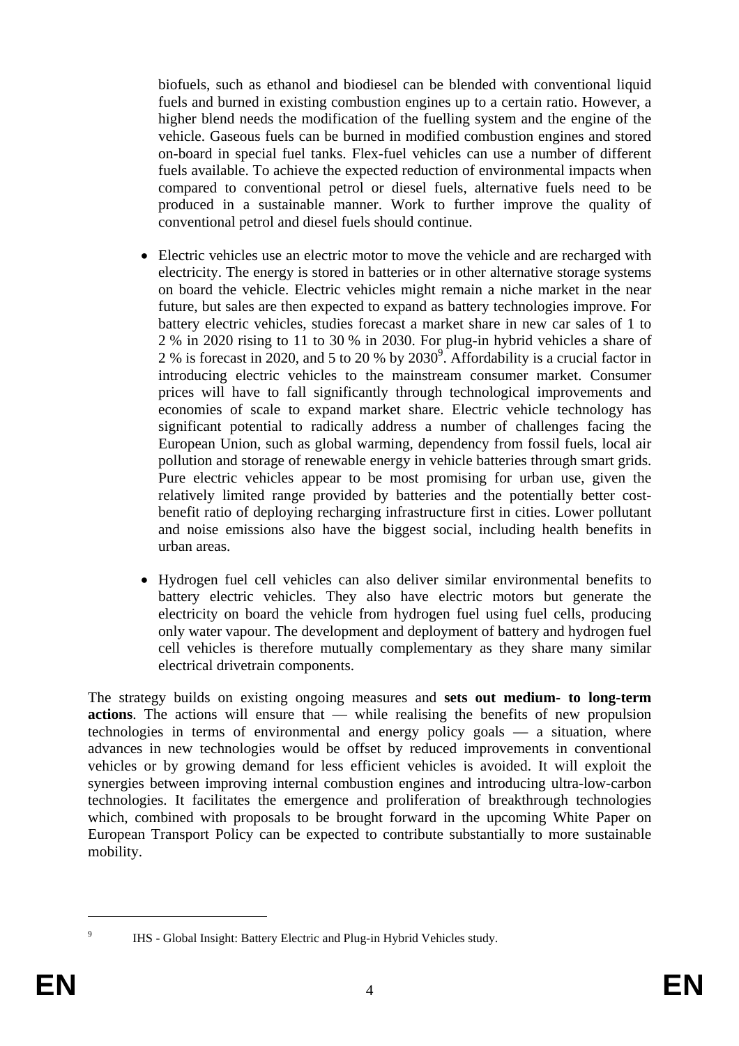biofuels, such as ethanol and biodiesel can be blended with conventional liquid fuels and burned in existing combustion engines up to a certain ratio. However, a higher blend needs the modification of the fuelling system and the engine of the vehicle. Gaseous fuels can be burned in modified combustion engines and stored on-board in special fuel tanks. Flex-fuel vehicles can use a number of different fuels available. To achieve the expected reduction of environmental impacts when compared to conventional petrol or diesel fuels, alternative fuels need to be produced in a sustainable manner. Work to further improve the quality of conventional petrol and diesel fuels should continue.

- Electric vehicles use an electric motor to move the vehicle and are recharged with electricity. The energy is stored in batteries or in other alternative storage systems on board the vehicle. Electric vehicles might remain a niche market in the near future, but sales are then expected to expand as battery technologies improve. For battery electric vehicles, studies forecast a market share in new car sales of 1 to 2 % in 2020 rising to 11 to 30 % in 2030. For plug-in hybrid vehicles a share of 2 % is forecast in 2020, and 5 to 20 % by  $2030^{\circ}$ . Affordability is a crucial factor in introducing electric vehicles to the mainstream consumer market. Consumer prices will have to fall significantly through technological improvements and economies of scale to expand market share. Electric vehicle technology has significant potential to radically address a number of challenges facing the European Union, such as global warming, dependency from fossil fuels, local air pollution and storage of renewable energy in vehicle batteries through smart grids. Pure electric vehicles appear to be most promising for urban use, given the relatively limited range provided by batteries and the potentially better costbenefit ratio of deploying recharging infrastructure first in cities. Lower pollutant and noise emissions also have the biggest social, including health benefits in urban areas.
- Hydrogen fuel cell vehicles can also deliver similar environmental benefits to battery electric vehicles. They also have electric motors but generate the electricity on board the vehicle from hydrogen fuel using fuel cells, producing only water vapour. The development and deployment of battery and hydrogen fuel cell vehicles is therefore mutually complementary as they share many similar electrical drivetrain components.

The strategy builds on existing ongoing measures and **sets out medium- to long-term actions**. The actions will ensure that — while realising the benefits of new propulsion technologies in terms of environmental and energy policy goals — a situation, where advances in new technologies would be offset by reduced improvements in conventional vehicles or by growing demand for less efficient vehicles is avoided. It will exploit the synergies between improving internal combustion engines and introducing ultra-low-carbon technologies. It facilitates the emergence and proliferation of breakthrough technologies which, combined with proposals to be brought forward in the upcoming White Paper on European Transport Policy can be expected to contribute substantially to more sustainable mobility.

<sup>1</sup> 9

IHS - Global Insight: Battery Electric and Plug-in Hybrid Vehicles study.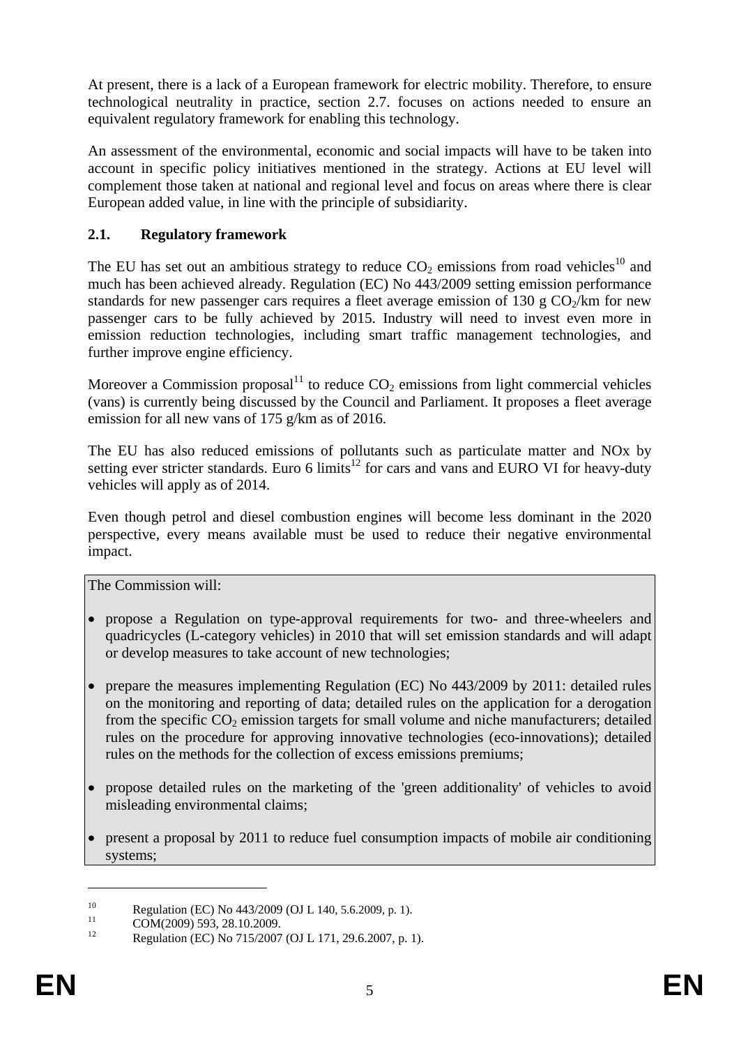At present, there is a lack of a European framework for electric mobility. Therefore, to ensure technological neutrality in practice, section 2.7. focuses on actions needed to ensure an equivalent regulatory framework for enabling this technology.

An assessment of the environmental, economic and social impacts will have to be taken into account in specific policy initiatives mentioned in the strategy. Actions at EU level will complement those taken at national and regional level and focus on areas where there is clear European added value, in line with the principle of subsidiarity.

## **2.1. Regulatory framework**

The EU has set out an ambitious strategy to reduce  $CO_2$  emissions from road vehicles<sup>10</sup> and much has been achieved already. Regulation (EC) No 443/2009 setting emission performance standards for new passenger cars requires a fleet average emission of 130 g  $CO<sub>2</sub>/km$  for new passenger cars to be fully achieved by 2015. Industry will need to invest even more in emission reduction technologies, including smart traffic management technologies, and further improve engine efficiency.

Moreover a Commission proposal<sup>11</sup> to reduce  $CO<sub>2</sub>$  emissions from light commercial vehicles (vans) is currently being discussed by the Council and Parliament. It proposes a fleet average emission for all new vans of 175 g/km as of 2016.

The EU has also reduced emissions of pollutants such as particulate matter and NOx by setting ever stricter standards. Euro 6 limits<sup>12</sup> for cars and vans and EURO VI for heavy-duty vehicles will apply as of 2014.

Even though petrol and diesel combustion engines will become less dominant in the 2020 perspective, every means available must be used to reduce their negative environmental impact.

The Commission will:

- propose a Regulation on type-approval requirements for two- and three-wheelers and quadricycles (L-category vehicles) in 2010 that will set emission standards and will adapt or develop measures to take account of new technologies;
- prepare the measures implementing Regulation (EC) No 443/2009 by 2011: detailed rules on the monitoring and reporting of data; detailed rules on the application for a derogation from the specific  $CO_2$  emission targets for small volume and niche manufacturers; detailed rules on the procedure for approving innovative technologies (eco-innovations); detailed rules on the methods for the collection of excess emissions premiums;
- propose detailed rules on the marketing of the 'green additionality' of vehicles to avoid misleading environmental claims;
- present a proposal by 2011 to reduce fuel consumption impacts of mobile air conditioning systems;

<sup>10</sup> Regulation (EC) No 443/2009 (OJ L 140, 5.6.2009, p. 1).<br>
COM(2009) 593, 28.10.2009.<br>
Regulation (EC) No 715/2007 (OJ L 171, 20.6.2007, p. 1).

Regulation (EC) No 715/2007 (OJ L 171, 29.6.2007, p. 1).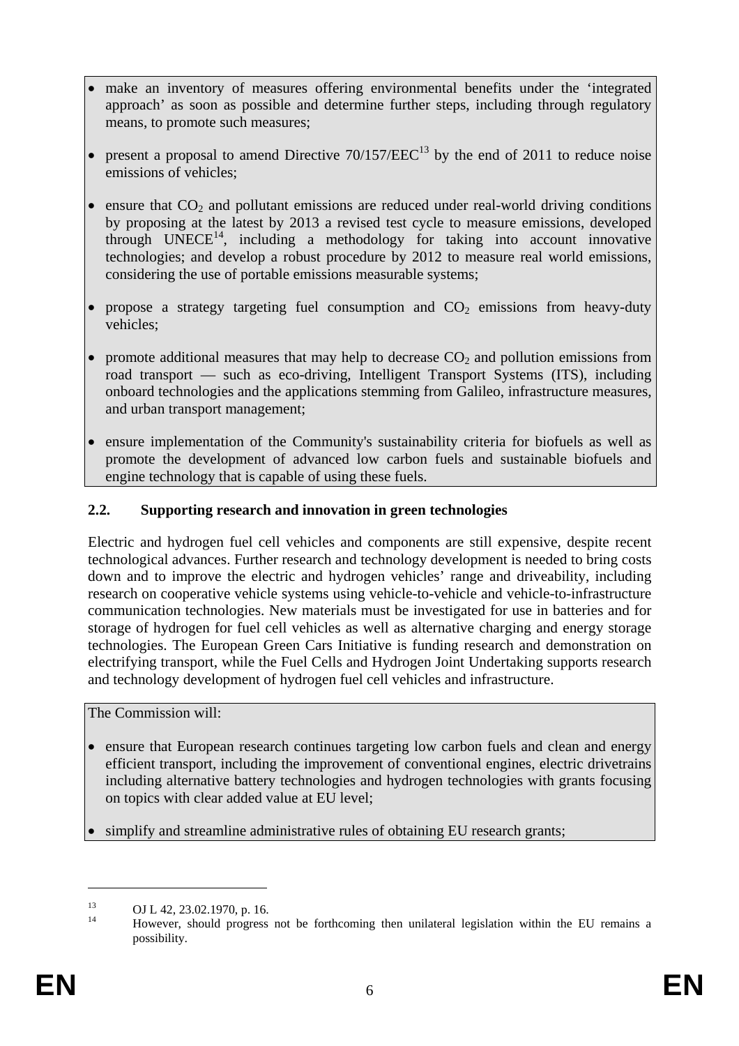- make an inventory of measures offering environmental benefits under the 'integrated approach' as soon as possible and determine further steps, including through regulatory means, to promote such measures;
- present a proposal to amend Directive  $70/157/EEC<sup>13</sup>$  by the end of 2011 to reduce noise emissions of vehicles;
- ensure that  $CO<sub>2</sub>$  and pollutant emissions are reduced under real-world driving conditions by proposing at the latest by 2013 a revised test cycle to measure emissions, developed through  $UNECE<sup>14</sup>$ , including a methodology for taking into account innovative technologies; and develop a robust procedure by 2012 to measure real world emissions, considering the use of portable emissions measurable systems;
- propose a strategy targeting fuel consumption and  $CO<sub>2</sub>$  emissions from heavy-duty vehicles;
- promote additional measures that may help to decrease  $CO<sub>2</sub>$  and pollution emissions from road transport — such as eco-driving, Intelligent Transport Systems (ITS), including onboard technologies and the applications stemming from Galileo, infrastructure measures, and urban transport management;
- ensure implementation of the Community's sustainability criteria for biofuels as well as promote the development of advanced low carbon fuels and sustainable biofuels and engine technology that is capable of using these fuels.

### **2.2. Supporting research and innovation in green technologies**

Electric and hydrogen fuel cell vehicles and components are still expensive, despite recent technological advances. Further research and technology development is needed to bring costs down and to improve the electric and hydrogen vehicles' range and driveability, including research on cooperative vehicle systems using vehicle-to-vehicle and vehicle-to-infrastructure communication technologies. New materials must be investigated for use in batteries and for storage of hydrogen for fuel cell vehicles as well as alternative charging and energy storage technologies. The European Green Cars Initiative is funding research and demonstration on electrifying transport, while the Fuel Cells and Hydrogen Joint Undertaking supports research and technology development of hydrogen fuel cell vehicles and infrastructure.

The Commission will:

- ensure that European research continues targeting low carbon fuels and clean and energy efficient transport, including the improvement of conventional engines, electric drivetrains including alternative battery technologies and hydrogen technologies with grants focusing on topics with clear added value at EU level;
- simplify and streamline administrative rules of obtaining EU research grants;

<sup>&</sup>lt;sup>13</sup> OJ L 42, 23.02.1970, p. 16.

<sup>14</sup> However, should progress not be forthcoming then unilateral legislation within the EU remains a possibility.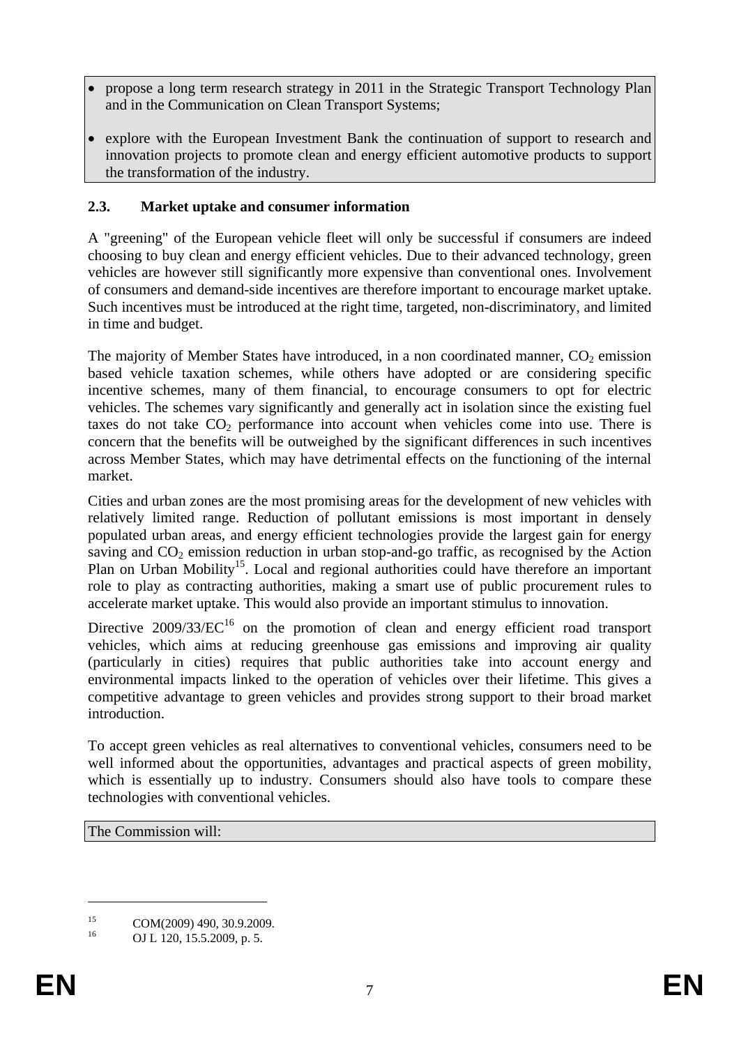- propose a long term research strategy in 2011 in the Strategic Transport Technology Plan and in the Communication on Clean Transport Systems;
- explore with the European Investment Bank the continuation of support to research and innovation projects to promote clean and energy efficient automotive products to support the transformation of the industry.

### **2.3. Market uptake and consumer information**

A "greening" of the European vehicle fleet will only be successful if consumers are indeed choosing to buy clean and energy efficient vehicles. Due to their advanced technology, green vehicles are however still significantly more expensive than conventional ones. Involvement of consumers and demand-side incentives are therefore important to encourage market uptake. Such incentives must be introduced at the right time, targeted, non-discriminatory, and limited in time and budget.

The majority of Member States have introduced, in a non coordinated manner,  $CO<sub>2</sub>$  emission based vehicle taxation schemes, while others have adopted or are considering specific incentive schemes, many of them financial, to encourage consumers to opt for electric vehicles. The schemes vary significantly and generally act in isolation since the existing fuel taxes do not take  $CO<sub>2</sub>$  performance into account when vehicles come into use. There is concern that the benefits will be outweighed by the significant differences in such incentives across Member States, which may have detrimental effects on the functioning of the internal market.

Cities and urban zones are the most promising areas for the development of new vehicles with relatively limited range. Reduction of pollutant emissions is most important in densely populated urban areas, and energy efficient technologies provide the largest gain for energy saving and CO<sub>2</sub> emission reduction in urban stop-and-go traffic, as recognised by the Action Plan on Urban Mobility<sup>15</sup>. Local and regional authorities could have therefore an important role to play as contracting authorities, making a smart use of public procurement rules to accelerate market uptake. This would also provide an important stimulus to innovation.

Directive  $2009/33/EC^{16}$  on the promotion of clean and energy efficient road transport vehicles, which aims at reducing greenhouse gas emissions and improving air quality (particularly in cities) requires that public authorities take into account energy and environmental impacts linked to the operation of vehicles over their lifetime. This gives a competitive advantage to green vehicles and provides strong support to their broad market introduction.

To accept green vehicles as real alternatives to conventional vehicles, consumers need to be well informed about the opportunities, advantages and practical aspects of green mobility, which is essentially up to industry. Consumers should also have tools to compare these technologies with conventional vehicles.

The Commission will:

<u>.</u>

<sup>&</sup>lt;sup>15</sup> COM(2009) 490, 30.9.2009.

OJ L 120, 15.5.2009, p. 5.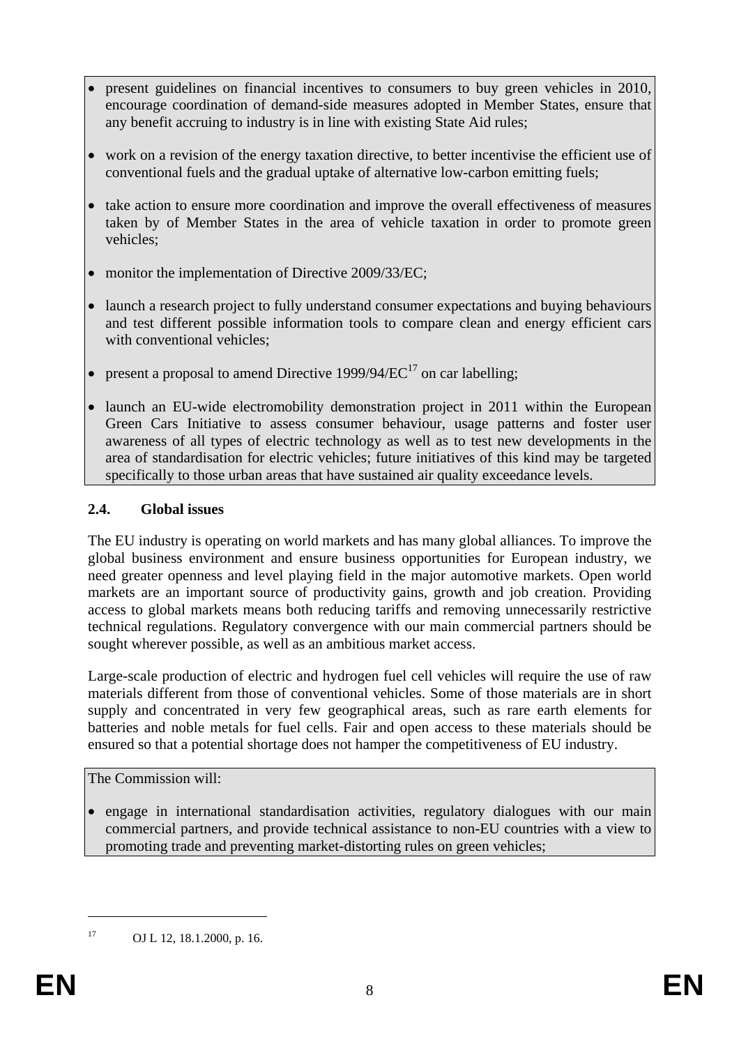- present guidelines on financial incentives to consumers to buy green vehicles in 2010, encourage coordination of demand-side measures adopted in Member States, ensure that any benefit accruing to industry is in line with existing State Aid rules;
- work on a revision of the energy taxation directive, to better incentivise the efficient use of conventional fuels and the gradual uptake of alternative low-carbon emitting fuels;
- take action to ensure more coordination and improve the overall effectiveness of measures taken by of Member States in the area of vehicle taxation in order to promote green vehicles;
- monitor the implementation of Directive 2009/33/EC;
- launch a research project to fully understand consumer expectations and buying behaviours and test different possible information tools to compare clean and energy efficient cars with conventional vehicles;
- present a proposal to amend Directive 1999/94/ $EC^{17}$  on car labelling;
- launch an EU-wide electromobility demonstration project in 2011 within the European Green Cars Initiative to assess consumer behaviour, usage patterns and foster user awareness of all types of electric technology as well as to test new developments in the area of standardisation for electric vehicles; future initiatives of this kind may be targeted specifically to those urban areas that have sustained air quality exceedance levels.

# **2.4. Global issues**

The EU industry is operating on world markets and has many global alliances. To improve the global business environment and ensure business opportunities for European industry, we need greater openness and level playing field in the major automotive markets. Open world markets are an important source of productivity gains, growth and job creation. Providing access to global markets means both reducing tariffs and removing unnecessarily restrictive technical regulations. Regulatory convergence with our main commercial partners should be sought wherever possible, as well as an ambitious market access.

Large-scale production of electric and hydrogen fuel cell vehicles will require the use of raw materials different from those of conventional vehicles. Some of those materials are in short supply and concentrated in very few geographical areas, such as rare earth elements for batteries and noble metals for fuel cells. Fair and open access to these materials should be ensured so that a potential shortage does not hamper the competitiveness of EU industry.

The Commission will:

• engage in international standardisation activities, regulatory dialogues with our main commercial partners, and provide technical assistance to non-EU countries with a view to promoting trade and preventing market-distorting rules on green vehicles;

<sup>1</sup> 

<sup>17</sup> OJ L 12, 18.1.2000, p. 16.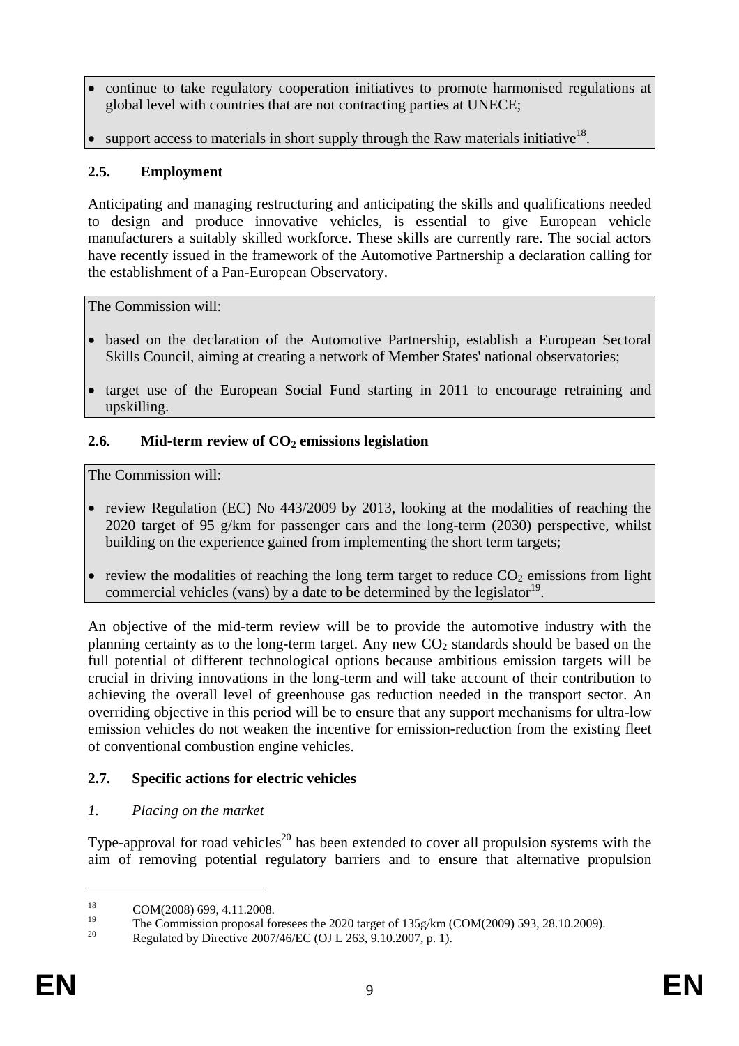- continue to take regulatory cooperation initiatives to promote harmonised regulations at global level with countries that are not contracting parties at UNECE;
- support access to materials in short supply through the Raw materials initiative<sup>18</sup>.

## **2.5. Employment**

Anticipating and managing restructuring and anticipating the skills and qualifications needed to design and produce innovative vehicles, is essential to give European vehicle manufacturers a suitably skilled workforce. These skills are currently rare. The social actors have recently issued in the framework of the Automotive Partnership a declaration calling for the establishment of a Pan-European Observatory.

The Commission will:

- based on the declaration of the Automotive Partnership, establish a European Sectoral Skills Council, aiming at creating a network of Member States' national observatories;
- target use of the European Social Fund starting in 2011 to encourage retraining and upskilling.

### 2.6. Mid-term review of CO<sub>2</sub> emissions legislation

The Commission will:

- review Regulation (EC) No 443/2009 by 2013, looking at the modalities of reaching the 2020 target of 95 g/km for passenger cars and the long-term (2030) perspective, whilst building on the experience gained from implementing the short term targets;
- review the modalities of reaching the long term target to reduce  $CO<sub>2</sub>$  emissions from light commercial vehicles (vans) by a date to be determined by the legislator<sup>19</sup>.

An objective of the mid-term review will be to provide the automotive industry with the planning certainty as to the long-term target. Any new  $CO<sub>2</sub>$  standards should be based on the full potential of different technological options because ambitious emission targets will be crucial in driving innovations in the long-term and will take account of their contribution to achieving the overall level of greenhouse gas reduction needed in the transport sector. An overriding objective in this period will be to ensure that any support mechanisms for ultra-low emission vehicles do not weaken the incentive for emission-reduction from the existing fleet of conventional combustion engine vehicles.

# **2.7. Specific actions for electric vehicles**

### *1. Placing on the market*

Type-approval for road vehicles<sup>20</sup> has been extended to cover all propulsion systems with the aim of removing potential regulatory barriers and to ensure that alternative propulsion

<sup>&</sup>lt;sup>18</sup> COM(2008) 699, 4.11.2008.

<sup>&</sup>lt;sup>19</sup> The Commission proposal foresees the 2020 target of 135g/km (COM(2009) 593, 28.10.2009).<br><sup>20</sup> Proposal in Pierre 2007/46 EG (OU 262, 0.10.2007, a.1).

<sup>20</sup> Regulated by Directive 2007/46/EC (OJ L 263, 9.10.2007, p. 1).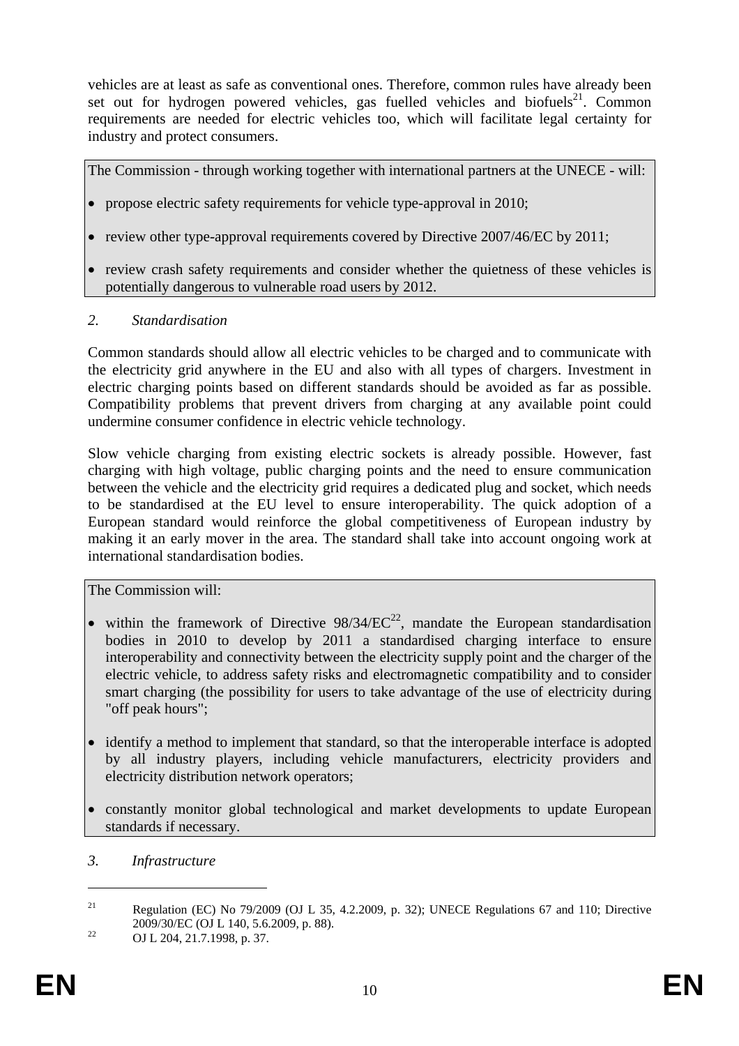vehicles are at least as safe as conventional ones. Therefore, common rules have already been set out for hydrogen powered vehicles, gas fuelled vehicles and biofuels $^{21}$ . Common requirements are needed for electric vehicles too, which will facilitate legal certainty for industry and protect consumers.

The Commission - through working together with international partners at the UNECE - will:

- propose electric safety requirements for vehicle type-approval in 2010;
- review other type-approval requirements covered by Directive 2007/46/EC by 2011;
- review crash safety requirements and consider whether the quietness of these vehicles is potentially dangerous to vulnerable road users by 2012.

### *2. Standardisation*

Common standards should allow all electric vehicles to be charged and to communicate with the electricity grid anywhere in the EU and also with all types of chargers. Investment in electric charging points based on different standards should be avoided as far as possible. Compatibility problems that prevent drivers from charging at any available point could undermine consumer confidence in electric vehicle technology.

Slow vehicle charging from existing electric sockets is already possible. However, fast charging with high voltage, public charging points and the need to ensure communication between the vehicle and the electricity grid requires a dedicated plug and socket, which needs to be standardised at the EU level to ensure interoperability. The quick adoption of a European standard would reinforce the global competitiveness of European industry by making it an early mover in the area. The standard shall take into account ongoing work at international standardisation bodies.

The Commission will:

- within the framework of Directive  $98/34/EC^{22}$ , mandate the European standardisation bodies in 2010 to develop by 2011 a standardised charging interface to ensure interoperability and connectivity between the electricity supply point and the charger of the electric vehicle, to address safety risks and electromagnetic compatibility and to consider smart charging (the possibility for users to take advantage of the use of electricity during "off peak hours";
- identify a method to implement that standard, so that the interoperable interface is adopted by all industry players, including vehicle manufacturers, electricity providers and electricity distribution network operators;
- constantly monitor global technological and market developments to update European standards if necessary.

*3. Infrastructure* 

<sup>&</sup>lt;sup>21</sup> Regulation (EC) No 79/2009 (OJ L 35, 4.2.2009, p. 32); UNECE Regulations 67 and 110; Directive 2009/30/EC (OJ L 140, 5.6.2009, p. 88).<br>
22 OJ L 204, 21.7.1998, p. 37.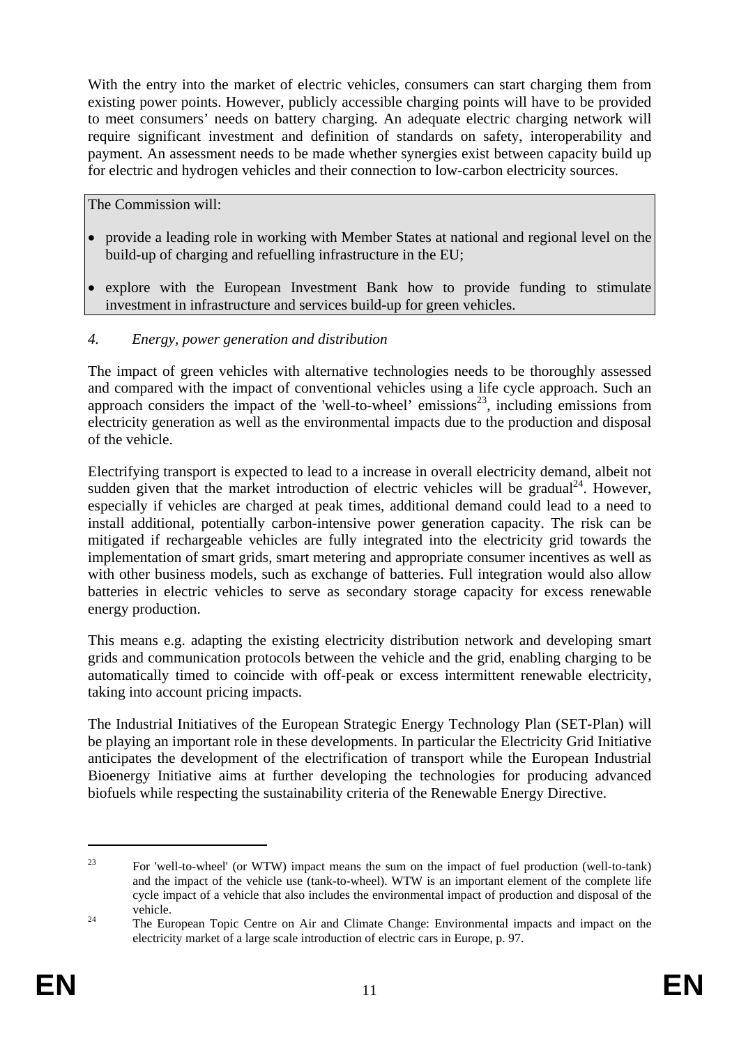With the entry into the market of electric vehicles, consumers can start charging them from existing power points. However, publicly accessible charging points will have to be provided to meet consumers' needs on battery charging. An adequate electric charging network will require significant investment and definition of standards on safety, interoperability and payment. An assessment needs to be made whether synergies exist between capacity build up for electric and hydrogen vehicles and their connection to low-carbon electricity sources.

The Commission will:

- provide a leading role in working with Member States at national and regional level on the build-up of charging and refuelling infrastructure in the EU;
- explore with the European Investment Bank how to provide funding to stimulate investment in infrastructure and services build-up for green vehicles.

### *4. Energy, power generation and distribution*

The impact of green vehicles with alternative technologies needs to be thoroughly assessed and compared with the impact of conventional vehicles using a life cycle approach. Such an approach considers the impact of the 'well-to-wheel' emissions<sup>23</sup>, including emissions from electricity generation as well as the environmental impacts due to the production and disposal of the vehicle.

Electrifying transport is expected to lead to a increase in overall electricity demand, albeit not sudden given that the market introduction of electric vehicles will be gradual<sup>24</sup>. However, especially if vehicles are charged at peak times, additional demand could lead to a need to install additional, potentially carbon-intensive power generation capacity. The risk can be mitigated if rechargeable vehicles are fully integrated into the electricity grid towards the implementation of smart grids, smart metering and appropriate consumer incentives as well as with other business models, such as exchange of batteries. Full integration would also allow batteries in electric vehicles to serve as secondary storage capacity for excess renewable energy production.

This means e.g. adapting the existing electricity distribution network and developing smart grids and communication protocols between the vehicle and the grid, enabling charging to be automatically timed to coincide with off-peak or excess intermittent renewable electricity, taking into account pricing impacts.

The Industrial Initiatives of the European Strategic Energy Technology Plan (SET-Plan) will be playing an important role in these developments. In particular the Electricity Grid Initiative anticipates the development of the electrification of transport while the European Industrial Bioenergy Initiative aims at further developing the technologies for producing advanced biofuels while respecting the sustainability criteria of the Renewable Energy Directive.

<sup>&</sup>lt;sup>23</sup> For 'well-to-wheel' (or WTW) impact means the sum on the impact of fuel production (well-to-tank) and the impact of the vehicle use (tank-to-wheel). WTW is an important element of the complete life cycle impact of a vehicle that also includes the environmental impact of production and disposal of the vehicle. 24 The European Topic Centre on Air and Climate Change: Environmental impacts and impact on the

electricity market of a large scale introduction of electric cars in Europe, p. 97.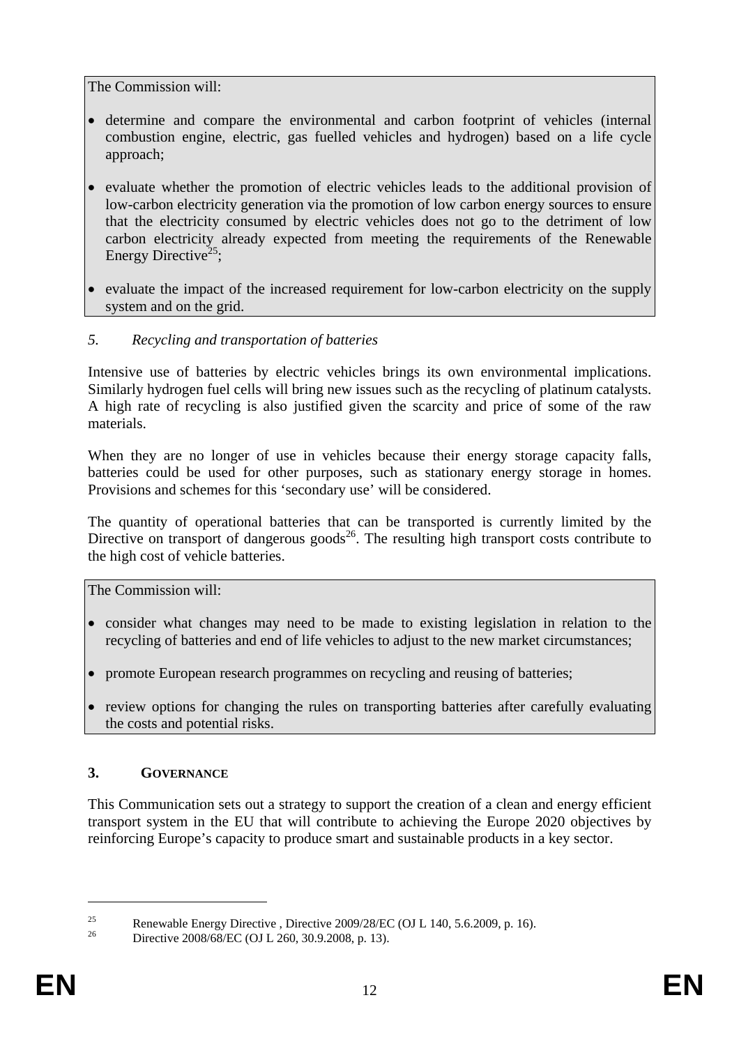The Commission will:

- determine and compare the environmental and carbon footprint of vehicles (internal combustion engine, electric, gas fuelled vehicles and hydrogen) based on a life cycle approach;
- evaluate whether the promotion of electric vehicles leads to the additional provision of low-carbon electricity generation via the promotion of low carbon energy sources to ensure that the electricity consumed by electric vehicles does not go to the detriment of low carbon electricity already expected from meeting the requirements of the Renewable Energy Directive<sup>25</sup>:
- evaluate the impact of the increased requirement for low-carbon electricity on the supply system and on the grid.

## *5. Recycling and transportation of batteries*

Intensive use of batteries by electric vehicles brings its own environmental implications. Similarly hydrogen fuel cells will bring new issues such as the recycling of platinum catalysts. A high rate of recycling is also justified given the scarcity and price of some of the raw materials.

When they are no longer of use in vehicles because their energy storage capacity falls, batteries could be used for other purposes, such as stationary energy storage in homes. Provisions and schemes for this 'secondary use' will be considered.

The quantity of operational batteries that can be transported is currently limited by the Directive on transport of dangerous goods<sup>26</sup>. The resulting high transport costs contribute to the high cost of vehicle batteries.

The Commission will:

- consider what changes may need to be made to existing legislation in relation to the recycling of batteries and end of life vehicles to adjust to the new market circumstances;
- promote European research programmes on recycling and reusing of batteries;
- review options for changing the rules on transporting batteries after carefully evaluating the costs and potential risks.

### **3. GOVERNANCE**

This Communication sets out a strategy to support the creation of a clean and energy efficient transport system in the EU that will contribute to achieving the Europe 2020 objectives by reinforcing Europe's capacity to produce smart and sustainable products in a key sector.

<u>.</u>

<sup>&</sup>lt;sup>25</sup><br>Renewable Energy Directive , Directive 2009/28/EC (OJ L 140, 5.6.2009, p. 16).<br> $\frac{26}{100}$ 

Directive 2008/68/EC (OJ L 260, 30.9.2008, p. 13).